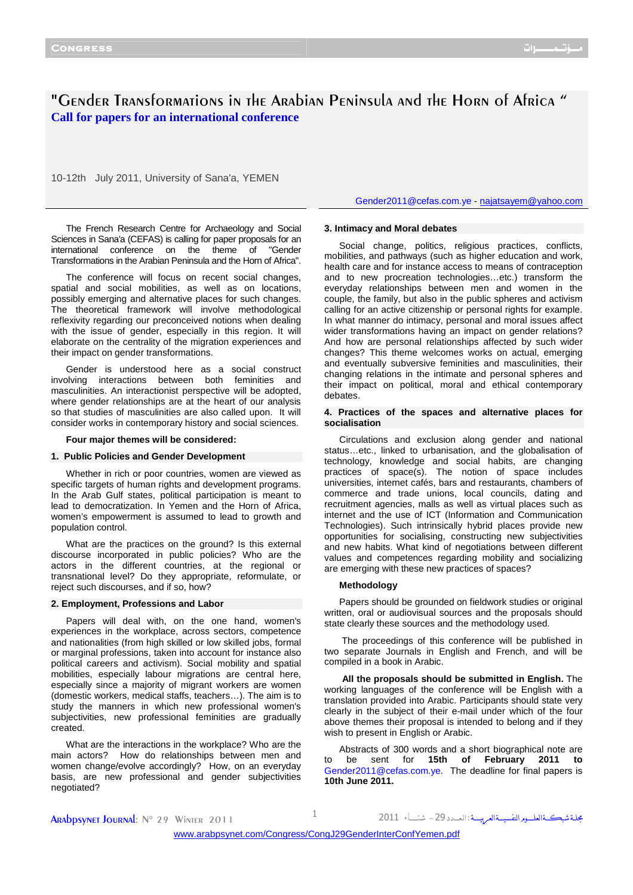# "Gender Transformations in the Arabian Peninsula and the Horn of Africa " **Call for papers for an international conference**

10-12th July 2011, University of Sana'a, YEMEN

Gender2011@cefas.com.ye - najatsayem@yahoo.com

The French Research Centre for Archaeology and Social Sciences in Sana'a (CEFAS) is calling for paper proposals for an international conference on the theme of "Gender Transformations in the Arabian Peninsula and the Horn of Africa".

The conference will focus on recent social changes, spatial and social mobilities, as well as on locations, possibly emerging and alternative places for such changes. The theoretical framework will involve methodological reflexivity regarding our preconceived notions when dealing with the issue of gender, especially in this region. It will elaborate on the centrality of the migration experiences and their impact on gender transformations.

Gender is understood here as a social construct involving interactions between both feminities and masculinities. An interactionist perspective will be adopted, where gender relationships are at the heart of our analysis so that studies of masculinities are also called upon. It will consider works in contemporary history and social sciences.

#### **Four major themes will be considered:**

#### **1. Public Policies and Gender Development**

Whether in rich or poor countries, women are viewed as specific targets of human rights and development programs. In the Arab Gulf states, political participation is meant to lead to democratization. In Yemen and the Horn of Africa, women's empowerment is assumed to lead to growth and population control.

What are the practices on the ground? Is this external discourse incorporated in public policies? Who are the actors in the different countries, at the regional or transnational level? Do they appropriate, reformulate, or reject such discourses, and if so, how?

#### **2. Employment, Professions and Labor**

Papers will deal with, on the one hand, women's experiences in the workplace, across sectors, competence and nationalities (from high skilled or low skilled jobs, formal or marginal professions, taken into account for instance also political careers and activism). Social mobility and spatial mobilities, especially labour migrations are central here, especially since a majority of migrant workers are women (domestic workers, medical staffs, teachers…). The aim is to study the manners in which new professional women's subjectivities, new professional feminities are gradually created.

What are the interactions in the workplace? Who are the main actors? How do relationships between men and women change/evolve accordingly? How, on an everyday basis, are new professional and gender subjectivities negotiated?

# **3. Intimacy and Moral debates**

Social change, politics, religious practices, conflicts, mobilities, and pathways (such as higher education and work, health care and for instance access to means of contraception and to new procreation technologies…etc.) transform the everyday relationships between men and women in the couple, the family, but also in the public spheres and activism calling for an active citizenship or personal rights for example. In what manner do intimacy, personal and moral issues affect wider transformations having an impact on gender relations? And how are personal relationships affected by such wider changes? This theme welcomes works on actual, emerging and eventually subversive feminities and masculinities, their changing relations in the intimate and personal spheres and their impact on political, moral and ethical contemporary debates.

# **4. Practices of the spaces and alternative places for socialisation**

Circulations and exclusion along gender and national status…etc., linked to urbanisation, and the globalisation of technology, knowledge and social habits, are changing practices of space(s). The notion of space includes universities, internet cafés, bars and restaurants, chambers of commerce and trade unions, local councils, dating and recruitment agencies, malls as well as virtual places such as internet and the use of ICT (Information and Communication Technologies). Such intrinsically hybrid places provide new opportunities for socialising, constructing new subjectivities and new habits. What kind of negotiations between different values and competences regarding mobility and socializing are emerging with these new practices of spaces?

#### **Methodology**

Papers should be grounded on fieldwork studies or original written, oral or audiovisual sources and the proposals should state clearly these sources and the methodology used.

 The proceedings of this conference will be published in two separate Journals in English and French, and will be compiled in a book in Arabic.

**All the proposals should be submitted in English.** The working languages of the conference will be English with a translation provided into Arabic. Participants should state very clearly in the subject of their e-mail under which of the four above themes their proposal is intended to belong and if they wish to present in English or Arabic.

Abstracts of 300 words and a short biographical note are to be sent for **15th of February 2011 to**  Gender2011@cefas.com.ye. The deadline for final papers is **10th June 2011.** 

مجلة شبڪــةالعلـــوم النفسيــةالعـرييـــة : ال